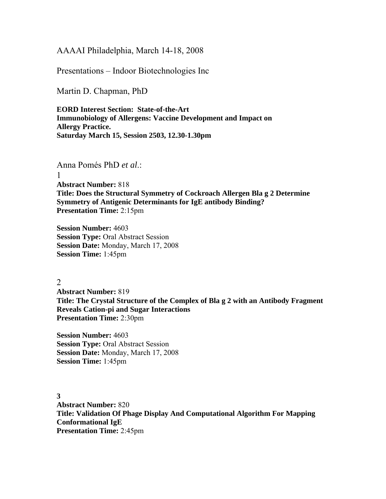AAAAI Philadelphia, March 14-18, 2008

Presentations – Indoor Biotechnologies Inc

Martin D. Chapman, PhD

**EORD Interest Section: State-of-the-Art Immunobiology of Allergens: Vaccine Development and Impact on Allergy Practice. Saturday March 15, Session 2503, 12.30-1.30pm** 

Anna Pomés PhD *et al*.:

1 **Abstract Number:** 818 **Title: Does the Structural Symmetry of Cockroach Allergen Bla g 2 Determine Symmetry of Antigenic Determinants for IgE antibody Binding? Presentation Time:** 2:15pm

**Session Number:** 4603 **Session Type:** Oral Abstract Session **Session Date:** Monday, March 17, 2008 **Session Time:** 1:45pm

2

**Abstract Number:** 819 **Title: The Crystal Structure of the Complex of Bla g 2 with an Antibody Fragment Reveals Cation-pi and Sugar Interactions Presentation Time:** 2:30pm

**Session Number:** 4603 **Session Type:** Oral Abstract Session **Session Date:** Monday, March 17, 2008 **Session Time:** 1:45pm

**3 Abstract Number:** 820 **Title: Validation Of Phage Display And Computational Algorithm For Mapping Conformational IgE Presentation Time:** 2:45pm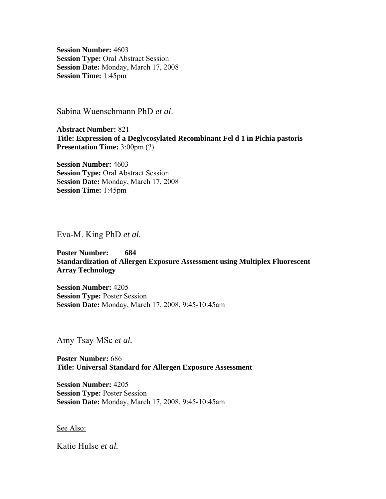**Session Number:** 4603 **Session Type:** Oral Abstract Session **Session Date:** Monday, March 17, 2008 **Session Time:** 1:45pm

Sabina Wuenschmann PhD *et al*.

**Abstract Number:** 821 **Title: Expression of a Deglycosylated Recombinant Fel d 1 in Pichia pastoris Presentation Time:** 3:00pm (?)

**Session Number:** 4603 **Session Type:** Oral Abstract Session **Session Date:** Monday, March 17, 2008 **Session Time:** 1:45pm

Eva-M. King PhD *et al.* 

## **Poster Number: 684 Standardization of Allergen Exposure Assessment using Multiplex Fluorescent Array Technology**

**Session Number:** 4205 **Session Type:** Poster Session **Session Date:** Monday, March 17, 2008, 9:45-10:45am

Amy Tsay MSc *et al.* 

**Poster Number:** 686 **Title: Universal Standard for Allergen Exposure Assessment** 

**Session Number:** 4205 **Session Type:** Poster Session **Session Date:** Monday, March 17, 2008, 9:45-10:45am

See Also:

Katie Hulse *et al.*